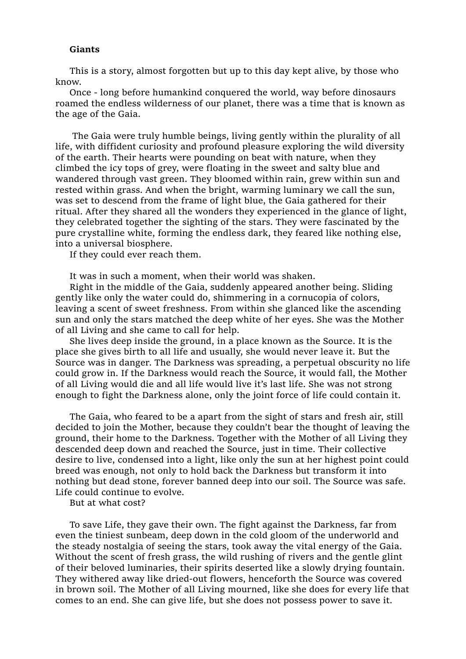## **Giants**

This is a story, almost forgotten but up to this day kept alive, by those who know.

Once - long before humankind conquered the world, way before dinosaurs roamed the endless wilderness of our planet, there was a time that is known as the age of the Gaia.

The Gaia were truly humble beings, living gently within the plurality of all life, with diffident curiosity and profound pleasure exploring the wild diversity of the earth. Their hearts were pounding on beat with nature, when they climbed the icy tops of grey, were floating in the sweet and salty blue and wandered through vast green. They bloomed within rain, grew within sun and rested within grass. And when the bright, warming luminary we call the sun, was set to descend from the frame of light blue, the Gaia gathered for their ritual. After they shared all the wonders they experienced in the glance of light, they celebrated together the sighting of the stars. They were fascinated by the pure crystalline white, forming the endless dark, they feared like nothing else, into a universal biosphere.

If they could ever reach them.

It was in such a moment, when their world was shaken.

Right in the middle of the Gaia, suddenly appeared another being. Sliding gently like only the water could do, shimmering in a cornucopia of colors, leaving a scent of sweet freshness. From within she glanced like the ascending sun and only the stars matched the deep white of her eyes. She was the Mother of all Living and she came to call for help.

She lives deep inside the ground, in a place known as the Source. It is the place she gives birth to all life and usually, she would never leave it. But the Source was in danger. The Darkness was spreading, a perpetual obscurity no life could grow in. If the Darkness would reach the Source, it would fall, the Mother of all Living would die and all life would live it's last life. She was not strong enough to fight the Darkness alone, only the joint force of life could contain it.

The Gaia, who feared to be a apart from the sight of stars and fresh air, still decided to join the Mother, because they couldn't bear the thought of leaving the ground, their home to the Darkness. Together with the Mother of all Living they descended deep down and reached the Source, just in time. Their collective desire to live, condensed into a light, like only the sun at her highest point could breed was enough, not only to hold back the Darkness but transform it into nothing but dead stone, forever banned deep into our soil. The Source was safe. Life could continue to evolve.

But at what cost?

To save Life, they gave their own. The fight against the Darkness, far from even the tiniest sunbeam, deep down in the cold gloom of the underworld and the steady nostalgia of seeing the stars, took away the vital energy of the Gaia. Without the scent of fresh grass, the wild rushing of rivers and the gentle glint of their beloved luminaries, their spirits deserted like a slowly drying fountain. They withered away like dried-out flowers, henceforth the Source was covered in brown soil. The Mother of all Living mourned, like she does for every life that comes to an end. She can give life, but she does not possess power to save it.